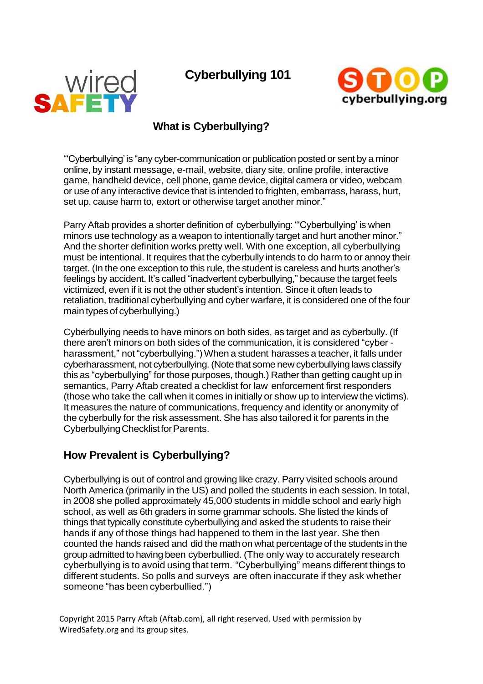# **Cyberbullying 101**





## **What is Cyberbullying?**

"'Cyberbullying' is "any cyber-communicationor publication posted or sent by a minor online, by instant message, e-mail, website, diary site, online profile, interactive game, handheld device, cell phone, game device, digital camera or video, webcam or use of any interactive device that is intended to frighten, embarrass, harass, hurt, set up, cause harm to, extort or otherwise target another minor."

Parry Aftab provides a shorter definition of cyberbullying: "'Cyberbullying' is when minors use technology as a weapon to intentionally target and hurt another minor." And the shorter definition works pretty well. With one exception, all cyberbullying must be intentional. It requires that the cyberbully intends to do harm to or annoy their target. (In the one exception to this rule, the student is careless and hurts another's feelings by accident. It's called "inadvertent cyberbullying," because the target feels victimized, even if it is not the other student's intention. Since it often leads to retaliation, traditional cyberbullying and cyber warfare, it is considered one of the four main types of cyberbullying.)

Cyberbullying needs to have minors on both sides, as target and as cyberbully. (If there aren't minors on both sides of the communication, it is considered "cyber harassment," not "cyberbullying.") When a student harasses a teacher, it falls under cyberharassment, not cyberbullying.(Notethat some new cyberbullyinglaws classify this as "cyberbullying" for those purposes, though.) Rather than getting caught up in semantics, Parry Aftab created a checklist for law enforcement first responders (those who take the call when it comes in initially or show up to interview the victims). It measures the nature of communications, frequency and identity or anonymity of the cyberbully for the risk assessment. She has also tailored it for parents in the Cyberbullying Checklist for Parents.

## **How Prevalent is Cyberbullying?**

Cyberbullying is out of control and growing like crazy. Parry visited schools around North America (primarily in the US) and polled the students in each session. In total, in 2008 she polled approximately 45,000 students in middle school and early high school, as well as 6th graders in some grammar schools. She listed the kinds of things that typically constitute cyberbullying and asked the students to raise their hands if any of those things had happened to them in the last year. She then counted the hands raised and did the math on what percentage of the students in the group admitted to having been cyberbullied. (The only way to accurately research cyberbullying is to avoid using that term. "Cyberbullying" means different things to different students. So polls and surveys are often inaccurate if they ask whether someone "has been cyberbullied.")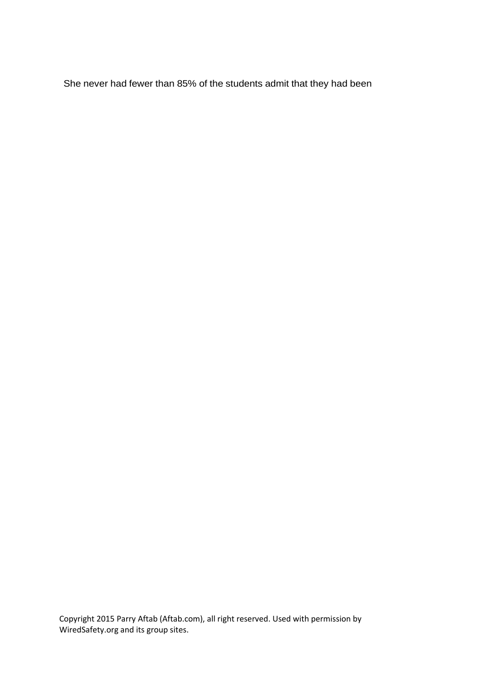She never had fewer than 85% of the students admit that they had been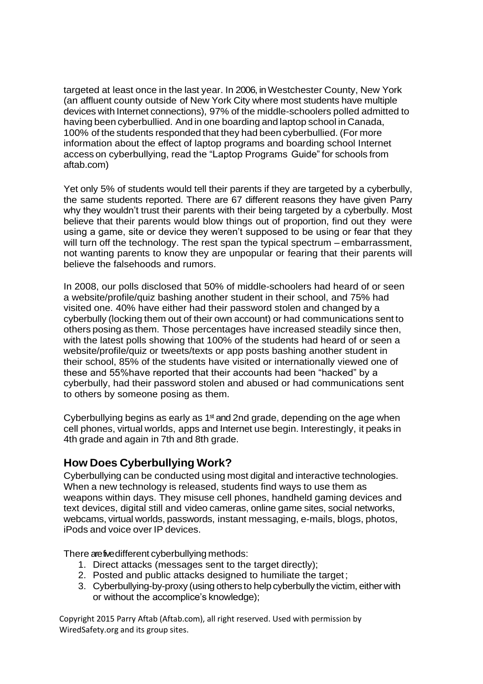targeted at least once in the last year. In 2006, in Westchester County, New York (an affluent county outside of New York City where most students have multiple devices with Internet connections), 97% of the middle-schoolers polled admitted to having been cyberbullied. And in one boarding and laptop school in Canada, 100% of the students responded that they had been cyberbullied. (For more information about the effect of laptop programs and boarding school Internet access on cyberbullying, read the "Laptop Programs Guide" for schools from aftab.com)

Yet only 5% of students would tell their parents if they are targeted by a cyberbully, the same students reported. There are 67 different reasons they have given Parry why they wouldn't trust their parents with their being targeted by a cyberbully. Most believe that their parents would blow things out of proportion, find out they were using a game, site or device they weren't supposed to be using or fear that they will turn off the technology. The rest span the typical spectrum – embarrassment, not wanting parents to know they are unpopular or fearing that their parents will believe the falsehoods and rumors.

In 2008, our polls disclosed that 50% of middle-schoolers had heard of or seen a website/profile/quiz bashing another student in their school, and 75% had visited one. 40% have either had their password stolen and changed by a cyberbully (locking them out of their own account) or had communications sent to others posing as them. Those percentages have increased steadily since then, with the latest polls showing that 100% of the students had heard of or seen a website/profile/quiz or tweets/texts or app posts bashing another student in their school, 85% of the students have visited or internationally viewed one of these and 55%have reported that their accounts had been "hacked" by a cyberbully, had their password stolen and abused or had communications sent to others by someone posing as them.

Cyberbullying begins as early as  $1<sup>st</sup>$  and 2nd grade, depending on the age when cell phones, virtual worlds, apps and Internet use begin. Interestingly, it peaks in 4th grade and again in 7th and 8th grade.

## **How Does Cyberbullying Work?**

Cyberbullying can be conducted using most digital and interactive technologies. When a new technology is released, students find ways to use them as weapons within days. They misuse cell phones, handheld gaming devices and text devices, digital still and video cameras, online game sites, social networks, webcams, virtual worlds, passwords, instant messaging, e-mails, blogs, photos, iPods and voice over IP devices.

There are five different cyberbullying methods:

- 1. Direct attacks (messages sent to the target directly);
- 2. Posted and public attacks designed to humiliate the target;
- 3. Cyberbullying-by-proxy (using others to help cyberbully the victim, either with or without the accomplice's knowledge);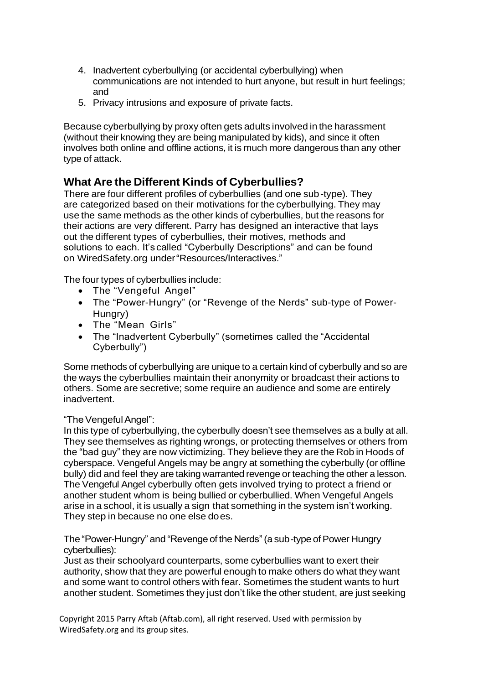- 4. Inadvertent cyberbullying (or accidental cyberbullying) when communications are not intended to hurt anyone, but result in hurt feelings; and
- 5. Privacy intrusions and exposure of private facts.

Because cyberbullying by proxy often gets adults involved in the harassment (without their knowing they are being manipulated by kids), and since it often involves both online and offline actions, it is much more dangerous than any other type of attack.

## **What Are the Different Kinds of Cyberbullies?**

There are four different profiles of cyberbullies (and one sub-type). They are categorized based on their motivations for the cyberbullying. They may use the same methods as the other kinds of cyberbullies, but the reasons for their actions are very different. Parry has designed an interactive that lays out the different types of cyberbullies, their motives, methods and solutions to each. It's called "Cyberbully Descriptions" and can be found on WiredSafety.org under"Resources/Interactives."

The four types of cyberbullies include:

- The "Vengeful Angel"
- The "Power-Hungry" (or "Revenge of the Nerds" sub-type of Power-Hungry)
- The "Mean Girls"
- The "Inadvertent Cyberbully" (sometimes called the "Accidental Cyberbully")

Some methods of cyberbullying are unique to a certain kind of cyberbully and so are the ways the cyberbullies maintain their anonymity or broadcast their actions to others. Some are secretive; some require an audience and some are entirely inadvertent.

#### "The Vengeful Angel":

In this type of cyberbullying, the cyberbully doesn't see themselves as a bully at all. They see themselves as righting wrongs, or protecting themselves or others from the "bad guy" they are now victimizing. They believe they are the Rob in Hoods of cyberspace. Vengeful Angels may be angry at something the cyberbully (or offline bully) did and feel they are taking warranted revenge or teaching the other a lesson. The Vengeful Angel cyberbully often gets involved trying to protect a friend or another student whom is being bullied or cyberbullied. When Vengeful Angels arise in a school, it is usually a sign that something in the system isn't working. They step in because no one else does.

The "Power-Hungry" and "Revenge of the Nerds"(a sub-type of Power Hungry cyberbullies):

Just as their schoolyard counterparts, some cyberbullies want to exert their authority, show that they are powerful enough to make others do what they want and some want to control others with fear. Sometimes the student wants to hurt another student. Sometimes they just don't like the other student, are just seeking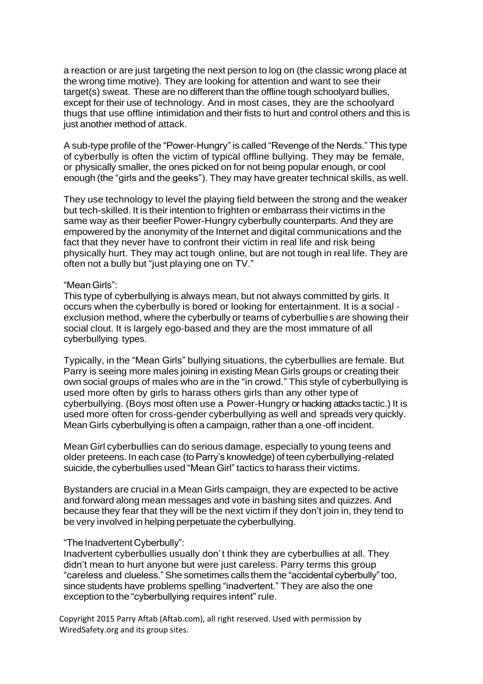a reaction or are just targeting the next person to log on (the classic wrong place at the wrong time motive). They are looking for attention and want to see their target(s) sweat. These are no different than the offline tough schoolyard bullies, except for their use of technology. And in most cases, they are the schoolyard thugs that use offline intimidation and their fists to hurt and control others and this is just another method of attack.

A sub-type profile of the "Power-Hungry" is called "Revenge of the Nerds." This type of cyberbully is often the victim of typical offline bullying. They may be female, or physically smaller, the ones picked on for not being popular enough, or cool enough (the "girls and the geeks"). They may have greater technical skills, as well.

They use technology to level the playing field between the strong and the weaker but tech-skilled. It is their intention to frighten or embarrass their victims in the same way as their beefier Power-Hungry cyberbully counterparts. And they are empowered by the anonymity of the Internet and digital communications and the fact that they never have to confront their victim in real life and risk being physically hurt. They may act tough online, but are not tough in real life. They are often not a bully but "just playing one on TV."

#### "MeanGirls":

This type of cyberbullying is always mean, but not always committed by girls. It occurs when the cyberbully is bored or looking for entertainment. It is a social exclusion method, where the cyberbully or teams of cyberbullies are showing their social clout. It is largely ego-based and they are the most immature of all cyberbullying types.

Typically, in the "Mean Girls" bullying situations, the cyberbullies are female. But Parry is seeing more males joining in existing Mean Girls groups or creating their own social groups of males who are in the "in crowd." This style of cyberbullying is used more often by girls to harass others girls than any other type of cyberbullying. (Boys most often use a Power-Hungry or hacking attacks tactic.) It is used more often for cross-gender cyberbullying as well and spreads very quickly. Mean Girls cyberbullying is often a campaign, rather than a one-off incident.

Mean Girl cyberbullies can do serious damage, especially to young teens and older preteens. In each case (to Parry's knowledge) of teen cyberbullying-related suicide, the cyberbullies used "Mean Girl" tactics to harass their victims.

Bystanders are crucial in a Mean Girls campaign, they are expected to be active and forward along mean messages and vote in bashing sites and quizzes. And because they fear that they will be the next victim if they don't join in, they tend to be very involved in helping perpetuate the cyberbullying.

#### "The Inadvertent Cyberbully":

Inadvertent cyberbullies usually don't think they are cyberbullies at all. They didn't mean to hurt anyone but were just careless. Parry terms this group "careless and clueless."She sometimes calls them the "accidental cyberbully"too, since students have problems spelling "inadvertent." They are also the one exception to the "cyberbullying requires intent" rule.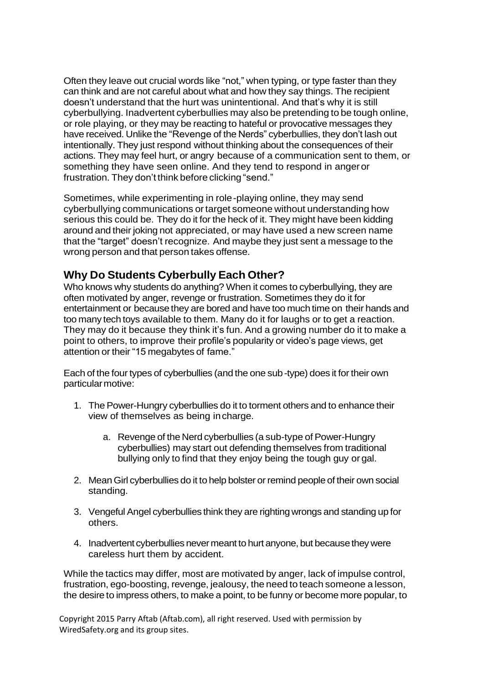Often they leave out crucial words like "not," when typing, or type faster than they can think and are not careful about what and how they say things. The recipient doesn't understand that the hurt was unintentional. And that's why it is still cyberbullying. Inadvertent cyberbullies may also be pretending to be tough online, or role playing, or they may be reacting to hateful or provocative messages they have received. Unlike the "Revenge of the Nerds" cyberbullies, they don't lash out intentionally. They just respond without thinking about the consequences of their actions. They may feel hurt, or angry because of a communication sent to them, or something they have seen online. And they tend to respond in angeror frustration. They don't think before clicking "send."

Sometimes, while experimenting in role-playing online, they may send cyberbullying communications ortarget someone without understanding how serious this could be. They do it for the heck of it. They might have been kidding around and their joking not appreciated, or may have used a new screen name that the "target" doesn't recognize. And maybe they just sent a message to the wrong person and that person takes offense.

## **Why Do Students Cyberbully Each Other?**

Who knows why students do anything? When it comes to cyberbullying, they are often motivated by anger, revenge or frustration. Sometimes they do it for entertainment or because they are bored and have too much time on their hands and too many tech toys available to them. Many do it for laughs or to get a reaction. They may do it because they think it's fun. And a growing number do it to make a point to others, to improve their profile's popularity or video's page views, get attention or their "15 megabytes of fame."

Each of the fourtypes of cyberbullies (and the one sub-type) does it fortheir own particularmotive:

- 1. The Power-Hungry cyberbullies do it to torment others and to enhance their view of themselves as being incharge.
	- a. Revenge of the Nerd cyberbullies (a sub-type of Power-Hungry cyberbullies) may start out defending themselves from traditional bullying only to find that they enjoy being the tough guy orgal.
- 2. Mean Girl cyberbullies do it to help bolster or remind people of their own social standing.
- 3. Vengeful Angel cyberbullies think they are righting wrongs and standing up for others.
- 4. Inadvertent cyberbullies never meant to hurt anyone, but because they were careless hurt them by accident.

While the tactics may differ, most are motivated by anger, lack of impulse control, frustration, ego-boosting, revenge, jealousy, the need to teach someone a lesson, the desire to impress others, to make a point, to be funny or become more popular, to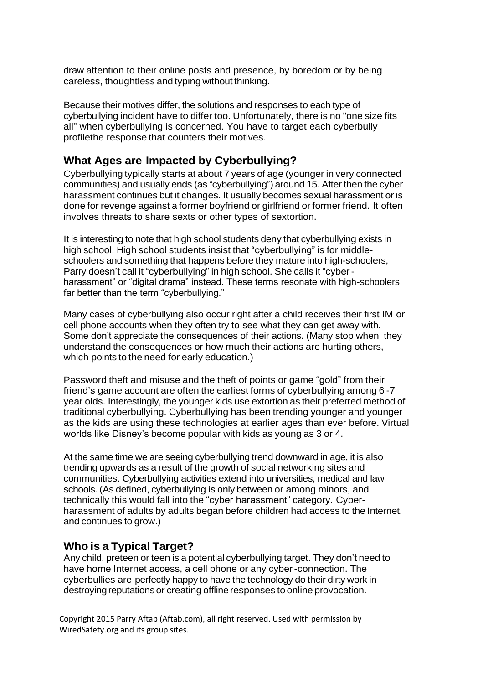draw attention to their online posts and presence, by boredom or by being careless, thoughtless and typing without thinking.

Because their motives differ, the solutions and responses to each type of cyberbullying incident have to differ too. Unfortunately, there is no "one size fits all" when cyberbullying is concerned. You have to target each cyberbully profilethe response that counters their motives.

### **What Ages are Impacted by Cyberbullying?**

Cyberbullying typically starts at about 7 years of age (younger in very connected communities) and usually ends (as "cyberbullying") around 15. After then the cyber harassment continues but it changes. It usually becomes sexual harassment or is done for revenge against a former boyfriend or girlfriend or former friend. It often involves threats to share sexts or other types of sextortion.

It is interesting to note that high school students deny that cyberbullying exists in high school. High school students insist that "cyberbullying" is for middleschoolers and something that happens before they mature into high-schoolers, Parry doesn't call it "cyberbullying" in high school. She calls it "cyber harassment" or "digital drama" instead. These terms resonate with high-schoolers far better than the term "cyberbullying."

Many cases of cyberbullying also occur right after a child receives their first IM or cell phone accounts when they often try to see what they can get away with. Some don't appreciate the consequences of their actions. (Many stop when they understand the consequences or how much their actions are hurting others, which points to the need for early education.)

Password theft and misuse and the theft of points or game "gold" from their friend's game account are often the earliest forms of cyberbullying among 6 -7 year olds. Interestingly, the younger kids use extortion as their preferred method of traditional cyberbullying. Cyberbullying has been trending younger and younger as the kids are using these technologies at earlier ages than ever before. Virtual worlds like Disney's become popular with kids as young as 3 or 4.

At the same time we are seeing cyberbullying trend downward in age, it is also trending upwards as a result of the growth of social networking sites and communities. Cyberbullying activities extend into universities, medical and law schools. (As defined, cyberbullying is only between or among minors, and technically this would fall into the "cyber harassment" category. Cyberharassment of adults by adults began before children had access to the Internet, and continues to grow.)

### **Who is a Typical Target?**

Any child, preteen or teen is a potential cyberbullying target. They don't need to have home Internet access, a cell phone or any cyber-connection. The cyberbullies are perfectly happy to have the technology do their dirty work in destroying reputations or creating offline responses to online provocation.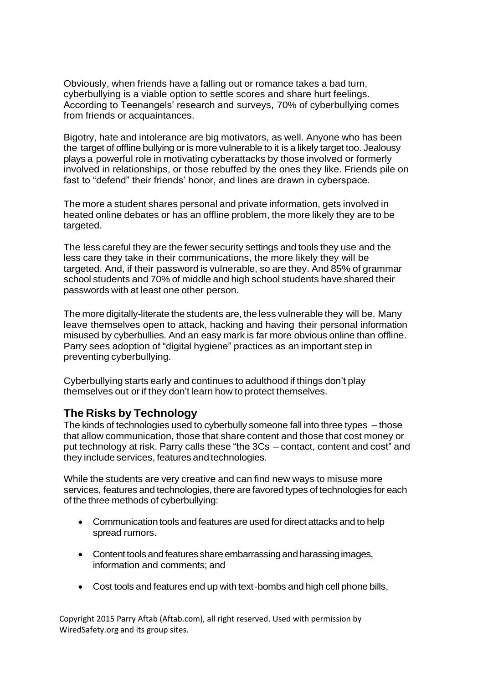Obviously, when friends have a falling out or romance takes a bad turn, cyberbullying is a viable option to settle scores and share hurt feelings. According to Teenangels' research and surveys, 70% of cyberbullying comes from friends or acquaintances.

Bigotry, hate and intolerance are big motivators, as well. Anyone who has been the target of offline bullying or is more vulnerable to it is a likely target too. Jealousy plays a powerful role in motivating cyberattacks by those involved or formerly involved in relationships, or those rebuffed by the ones they like. Friends pile on fast to "defend" their friends' honor, and lines are drawn in cyberspace.

The more a student shares personal and private information, gets involved in heated online debates or has an offline problem, the more likely they are to be targeted.

The less careful they are the fewer security settings and tools they use and the less care they take in their communications, the more likely they will be targeted. And, if their password is vulnerable, so are they. And 85% of grammar school students and 70% of middle and high school students have shared their passwords with at least one other person.

The more digitally-literate the students are, the less vulnerable they will be. Many leave themselves open to attack, hacking and having their personal information misused by cyberbullies. And an easy mark is far more obvious online than offline. Parry sees adoption of "digital hygiene" practices as an important step in preventing cyberbullying.

Cyberbullying starts early and continues to adulthood if things don't play themselves out or if they don't learn how to protect themselves.

## **The Risks by Technology**

The kinds of technologies used to cyberbully someone fall into three types – those that allow communication, those that share content and those that cost money or put technology at risk. Parry calls these "the 3Cs – contact, content and cost" and they include services, features and technologies.

While the students are very creative and can find new ways to misuse more services, features and technologies, there are favored types of technologies for each of the three methods of cyberbullying:

- Communication tools and features are used for direct attacks and to help spread rumors.
- Content tools and features share embarrassing and harassing images, information and comments; and
- Cost tools and features end up with text-bombs and high cell phone bills,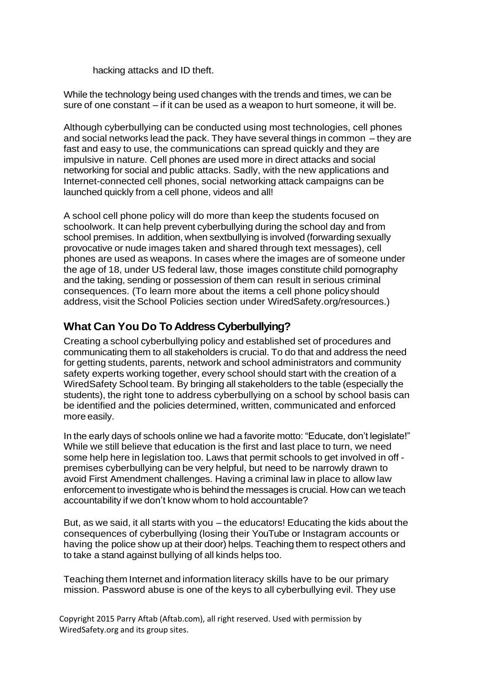hacking attacks and ID theft.

While the technology being used changes with the trends and times, we can be sure of one constant – if it can be used as a weapon to hurt someone, it will be.

Although cyberbullying can be conducted using most technologies, cell phones and social networks lead the pack. They have several things in common – they are fast and easy to use, the communications can spread quickly and they are impulsive in nature. Cell phones are used more in direct attacks and social networking for social and public attacks. Sadly, with the new applications and Internet-connected cell phones, social networking attack campaigns can be launched quickly from a cell phone, videos and all!

A school cell phone policy will do more than keep the students focused on schoolwork. It can help prevent cyberbullying during the school day and from school premises. In addition, when sextbullying is involved (forwarding sexually provocative or nude images taken and shared through text messages), cell phones are used as weapons. In cases where the images are of someone under the age of 18, under US federal law, those images constitute child pornography and the taking, sending or possession of them can result in serious criminal consequences. (To learn more about the items a cell phone policy should address, visit the School Policies section under WiredSafety.org/resources.)

## **What Can You Do To Address Cyberbullying?**

Creating a school cyberbullying policy and established set of procedures and communicating them to all stakeholders is crucial. To do that and address the need for getting students, parents, network and school administrators and community safety experts working together, every school should start with the creation of a WiredSafety School team. By bringing all stakeholders to the table (especially the students), the right tone to address cyberbullying on a school by school basis can be identified and the policies determined, written, communicated and enforced more easily.

In the early days of schools online we had a favorite motto: "Educate, don't legislate!" While we still believe that education is the first and last place to turn, we need some help here in legislation too. Laws that permit schools to get involved in off premises cyberbullying can be very helpful, but need to be narrowly drawn to avoid First Amendment challenges. Having a criminal law in place to allow law enforcement to investigate who is behind the messages is crucial. How can we teach accountability if we don't know whom to hold accountable?

But, as we said, it all starts with you – the educators! Educating the kids about the consequences of cyberbullying (losing their YouTube or Instagram accounts or having the police show up at their door) helps. Teaching them to respect others and to take a stand against bullying of all kinds helps too.

Teaching them Internet and information literacy skills have to be our primary mission. Password abuse is one of the keys to all cyberbullying evil. They use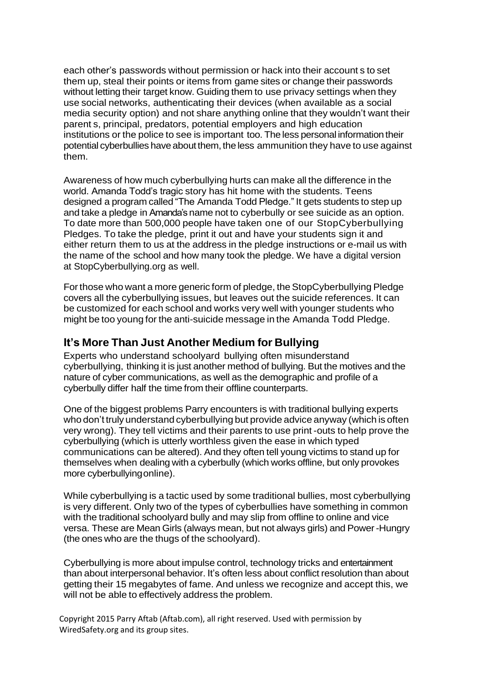each other's passwords without permission or hack into their account s to set them up, steal their points or items from game sites or change their passwords without letting their target know. Guiding them to use privacy settings when they use social networks, authenticating their devices (when available as a social media security option) and not share anything online that they wouldn't want their parent s, principal, predators, potential employers and high education institutions or the police to see is important too. The less personal information their potential cyberbullies have about them, the less ammunition they have to use against them.

Awareness of how much cyberbullying hurts can make all the difference in the world. Amanda Todd's tragic story has hit home with the students. Teens designed a program called "The Amanda Todd Pledge." It gets students to step up and take a pledge in Amanda's name not to cyberbully or see suicide as an option. To date more than 500,000 people have taken one of our StopCyberbullying Pledges. To take the pledge, print it out and have your students sign it and either return them to us at the address in the pledge instructions or e-mail us with the name of the school and how many took the pledge. We have a digital version at StopCyberbullying.org as well.

Forthose who want a more generic form of pledge, the StopCyberbullying Pledge covers all the cyberbullying issues, but leaves out the suicide references. It can be customized for each school and works very well with younger students who might be too young for the anti-suicide message in the Amanda Todd Pledge.

### **It's More Than Just Another Medium for Bullying**

Experts who understand schoolyard bullying often misunderstand cyberbullying, thinking it is just another method of bullying. But the motives and the nature of cyber communications, as well as the demographic and profile of a cyberbully differ half the time from their offline counterparts.

One of the biggest problems Parry encounters is with traditional bullying experts who don't truly understand cyberbullying but provide advice anyway (which is often very wrong). They tell victims and their parents to use print -outs to help prove the cyberbullying (which is utterly worthless given the ease in which typed communications can be altered). And they often tell young victims to stand up for themselves when dealing with a cyberbully (which works offline, but only provokes more cyberbullyingonline).

While cyberbullying is a tactic used by some traditional bullies, most cyberbullying is very different. Only two of the types of cyberbullies have something in common with the traditional schoolyard bully and may slip from offline to online and vice versa. These are Mean Girls (always mean, but not always girls) and Power-Hungry (the ones who are the thugs of the schoolyard).

Cyberbullying is more about impulse control, technology tricks and entertainment than about interpersonal behavior. It's often less about conflict resolution than about getting their 15 megabytes of fame. And unless we recognize and accept this, we will not be able to effectively address the problem.